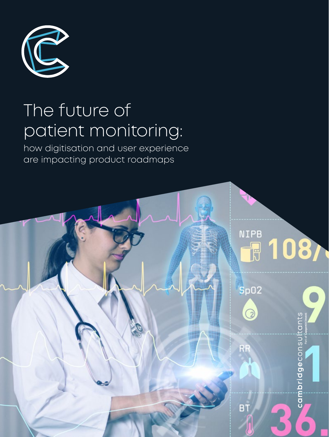

# The future of patient monitoring:

how digitisation and user experience are impacting product roadmaps

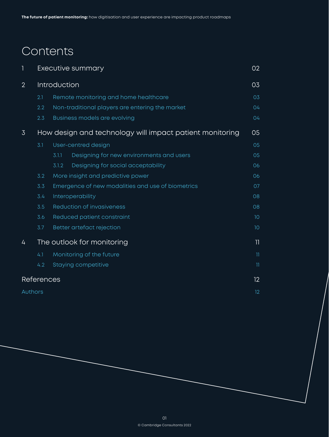# Contents

|                |                            | Executive summary                                        | 02 <sub>2</sub> |
|----------------|----------------------------|----------------------------------------------------------|-----------------|
| $\overline{2}$ |                            | Introduction                                             | 03              |
|                | 2.1                        | Remote monitoring and home healthcare                    | 03              |
|                | 2.2                        | Non-traditional players are entering the market          | 04              |
|                | 2.3                        | <b>Business models are evolving</b>                      | 04              |
| $\overline{3}$ |                            | How design and technology will impact patient monitoring | 05              |
|                | 3.1                        | User-centred design                                      | 05              |
|                |                            | Designing for new environments and users<br>3.1.1        | 05              |
|                |                            | Designing for social acceptability<br>3.1.2              | 06              |
|                | 3.2                        | More insight and predictive power                        | 06              |
|                | 3.3                        | Emergence of new modalities and use of biometrics        | 07              |
|                | 3.4                        | Interoperability                                         | 08              |
|                | 3.5                        | <b>Reduction of invasiveness</b>                         | 08              |
|                | 3.6                        | Reduced patient constraint                               | 10              |
|                | 3.7                        | Better artefact rejection                                | 10              |
| 4              | The outlook for monitoring |                                                          | 11              |
|                | 4.1                        | Monitoring of the future                                 | $\mathbf{1}$    |
|                | 4.2                        | <b>Staying competitive</b>                               | 11              |
|                | <b>References</b>          |                                                          |                 |
| Authors        |                            |                                                          | 12 <sup>°</sup> |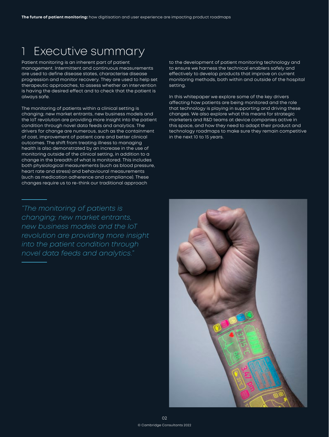# <span id="page-3-0"></span>1 Executive summary

Patient monitoring is an inherent part of patient management. Intermittent and continuous measurements are used to define disease states, characterise disease progression and monitor recovery. They are used to help set therapeutic approaches, to assess whether an intervention is having the desired effect and to check that the patient is always safe.

The monitoring of patients within a clinical setting is changing; new market entrants, new business models and the IoT revolution are providing more insight into the patient condition through novel data feeds and analytics. The drivers for change are numerous, such as the containment of cost, improvement of patient care and better clinical outcomes. The shift from treating illness to managing health is also demonstrated by an increase in the use of monitoring outside of the clinical setting, in addition to a change in the breadth of what is monitored. This includes both physiological measurements (such as blood pressure, heart rate and stress) and behavioural measurements (such as medication adherence and compliance). These changes require us to re-think our traditional approach

*"The monitoring of patients is changing; new market entrants, new business models and the IoT revolution are providing more insight into the patient condition through novel data feeds and analytics."*

to the development of patient monitoring technology and to ensure we harness the technical enablers safely and effectively to develop products that improve on current monitoring methods, both within and outside of the hospital setting.

In this whitepaper we explore some of the key drivers affecting how patients are being monitored and the role that technology is playing in supporting and driving these changes. We also explore what this means for strategic marketers and R&D teams at device companies active in this space, and how they need to adapt their product and technology roadmaps to make sure they remain competitive in the next 10 to 15 years.

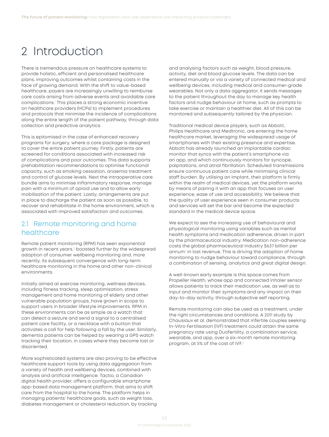# <span id="page-4-0"></span>2 Introduction

There is tremendous pressure on healthcare systems to provide holistic, efficient and personalised healthcare plans, improving outcomes whilst containing costs in the face of growing demand. With the shift to value-based healthcare, payers are increasingly unwilling to reimburse care costs arising from adverse events and avoidable care complications[.1](#page-13-0) This places a strong economic incentive on healthcare providers (HCPs) to implement procedures and protocols that minimise the incidence of complications along the entire length of the patient pathway, through data collection and predictive analytics.

This is epitomised in the case of enhanced recovery programs for surgery, where a care package is designed to cover the entire patient journey. Firstly, patients are screened for conditions associated with increased risk of complications and poor outcomes. This data supports prehabilitation recommendations to optimise functional capacity, such as smoking cessation, anaemia treatment and control of glucose levels. Next the intraoperative care bundle aims to minimise inflammatory response, manage pain with a minimum of opioid use and to allow early mobilisation of the patient. Lastly, arrangements are put in place to discharge the patient as soon as possible, to recover and rehabilitate in the home environment, which is associated with improved satisfaction and outcomes.

#### 2.1 Remote monitoring and home healthcare

Remote patient monitoring (RPM) has seen exponential growth in recent years,[2](#page-13-0) boosted further by the widespread adoption of consumer wellbeing monitoring and, more recently, its subsequent convergence with long-term healthcare monitoring in the home and other non-clinical environments.

Initially aimed at exercise monitoring, wellness devices, including fitness tracking, sleep optimisation, stress management and home monitoring of elderly and other vulnerable population groups, have grown in scope to support users in broader lifestyle improvements. RPM in these environments can be as simple as a watch that can detect a seizure and send a signal to a centralised patient care facility, or a necklace with a button that activates a call for help following a fall by the user. Similarly, dementia patients can be helped by wearing a GPS watch tracking their location, in cases where they become lost or disoriented.

More sophisticated systems are also proving to be effective healthcare support tools by using data aggregation from a variety of health and wellbeing devices, combined with analysis and artificial intelligence. Tactio, a Canadian digital health provider, offers a configurable smartphone app-based data management platform, that aims to shift care from the hospital to the home. The platform helps in managing patients' healthcare goals, such as weight loss, diabetes management or cholesterol reduction, by tracking and analysing factors such as weight, blood pressure, activity, diet and blood glucose levels. The data can be entered manually or via a variety of connected medical and wellbeing devices, including medical and consumer-grade wearables. Not only a data aggregator, it sends messages to the patient throughout the day to manage key health factors and nudge behaviour at home, such as prompts to take exercise or maintain a healthier diet. All of this can be monitored and subsequently tailored by the physician.

Traditional medical device players, such as Abbott, Philips Healthcare and Medtronic, are entering the home healthcare market, leveraging the widespread usage of smartphones with their existing presence and expertise. Abbott has already launched an implantable cardiac monitor that syncs with the patient's smartphone via an app, and which continuously monitors for syncope, palpitations, and atrial fibrillation. Scheduled transmissions ensure continuous patient care while minimising clinical staff burden. By utilising an implant, their platform is firmly within the realm of medical devices, yet the platform works by means of pairing it with an app that focuses on user experience, ease of use and accessibility. We believe that the quality of user experience seen in consumer products and services will set the bar and become the expected standard in the medical device space.

We expect to see the increasing use of behavioural and physiological monitoring using variables such as mental health symptoms and medication adherence, driven in part by the pharmaceutical industry. Medication non-adherence costs the global pharmaceutical industry \$637 billion per annum<sup>[3](#page-13-0)</sup> in lost revenue. This is driving the adoption of home monitoring to nudge behaviour toward compliance, through a combination of sensing, analytics and great digital design.

A well-known early example is this space comes from Propeller Health, whose app and connected inhaler sensor allows patients to track their medication use, as well as to input and monitor their symptoms and any impact on their day-to-day activity, through subjective self reporting.

Remote monitoring can also be used as a treatment, under the right circumstances and conditions. A 2011 study by Chausiaux et al. demonstrated that infertile couples seeking In-Vitro Fertilisation (IVF) treatment could attain the same pregnancy rate using Duofertility, a combination service, wearable, and app, over a six-month remote monitoring program, at 5% of the cost of IVF.[4](#page-13-0)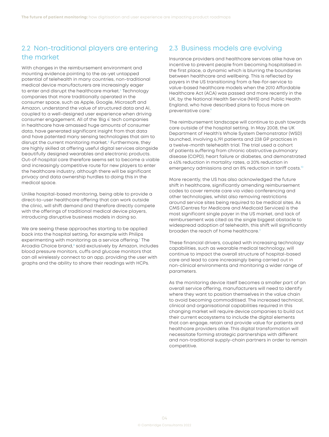### <span id="page-5-0"></span>2.2 Non-traditional players are entering the market

With changes in the reimbursement environment and mounting evidence pointing to the as-yet untapped potential of telehealth in many countries, non-traditional medical device manufacturers are increasingly eager to enter and disrupt the healthcare market.<sup>[5](#page-13-0)</sup> Technology companies that more traditionally operated in the consumer space, such as Apple, Google, Microsoft and Amazon, understand the value of structured data and AI, coupled to a well-designed user experience when driving consumer engagement. All of the 'Big 4' tech companies in healthcare have amassed huge amounts of consumer data, have generated significant insight from that data and have patented many sensing technologies that aim to disrupt the current monitoring market.<sup>6</sup> Furthermore, they are highly skilled at offering useful digital services alongside beautifully designed wearables and electronic products. Out-of-hospital care therefore seems set to become a viable and increasingly competitive route for new players to enter the healthcare industry, although there will be significant privacy and data ownership hurdles to doing this in the medical space.

Unlike hospital-based monitoring, being able to provide a direct-to-user healthcare offering that can work outside the clinic, will shift demand and therefore directly compete with the offerings of traditional medical device players, introducing disruptive business models in doing so.

We are seeing these approaches starting to be applied back into the hospital setting, for example with Philips experimenting with monitoring as a service offering.<sup>[7](#page-13-0)</sup> The Arcadia Choice brand,<sup>[8](#page-13-0)</sup> sold exclusively by Amazon, includes blood pressure monitors, cuffs and glucose monitors that can all wirelessly connect to an app, providing the user with graphs and the ability to share their readings with HCPs.

### 2.3 Business models are evolving

Insurance providers and healthcare services alike have an incentive to prevent people from becoming hospitalised in the first place, a dynamic which is blurring the boundaries between healthcare and wellbeing. This is reflected by payers in the US transitioning from a fee-for-service to value-based healthcare models when the 2010 Affordable Healthcare Act (ACA) was passed and more recently in the UK, by the National Health Service (NHS) and Public Health England, who have described plans to focus more on preventative care.[9](#page-13-0)

The reimbursement landscape will continue to push towards care outside of the hospital setting. In May 2008, the UK Department of Health's Whole System Demonstrator (WSD) launched, involving 6,191 patients and 238 GP practices in a twelve-month telehealth trial. The trial used a cohort of patients suffering from chronic obstructive pulmonary disease (COPD), heart failure or diabetes, and demonstrated a 45% reduction in mortality rates, a 20% reduction in emergency admissions and an 8% reduction in tariff costs.<sup>[10](#page-13-0)</sup>

More recently, the US has also acknowledged the future shift in healthcare, significantly amending reimbursement codes to cover remote care via video conferencing and other technologies, whilst also removing restrictions around service sites being required to be medical sites. As CMS (Centres for Medicare and Medicaid Services) is the most significant single payer in the US market, and lack of reimbursement was cited as the single biggest obstacle to widespread adoption of telehealth, this shift will significantly broaden the reach of home healthcare.<sup>11</sup>

These financial drivers, coupled with increasing technology capabilities, such as wearable medical technology, will continue to impact the overall structure of hospital-based care and lead to care increasingly being carried out in non-clinical environments and monitoring a wider range of parameters.

As the monitoring device itself becomes a smaller part of an overall service offering, manufacturers will need to identify where they want to position themselves in the value chain to avoid becoming commoditised. The increased technical, clinical and organisational capabilities required in this changing market will require device companies to build out their current ecosystems to include the digital elements that can engage, retain and provide value for patients and healthcare providers alike. This digital transformation will necessitate forming strategic partnerships with different and non-traditional supply-chain partners in order to remain competitive.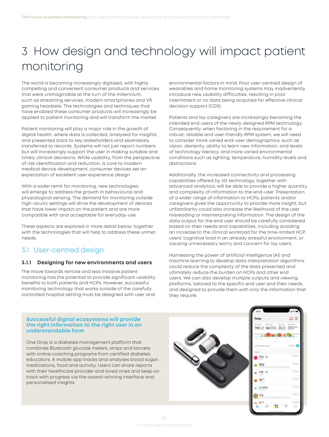# <span id="page-6-0"></span>3 How design and technology will impact patient monitoring

The world is becoming increasingly digitised, with highly compelling and convenient consumer products and services that were unimaginable at the turn of the millennium, such as streaming services, modern smartphones and VR gaming headsets. The technologies and techniques that have enabled these consumer products will increasingly be applied to patient monitoring and will transform the market.

Patient monitoring will play a major role in the growth of digital health, where data is collected, analysed for insights and presented back to key stakeholders and seamlessly transferred to records. Systems will not just report numbers but will increasingly support the user in making suitable and timely clinical decisions. While usability, from the perspective of risk identification and reduction, is core to modern medical device development, consumer devices set an expectation of excellent user experience design.

With a wider remit for monitoring, new technologies will emerge to address the growth in behavioural and physiological sensing. The demand for monitoring outside high-acuity settings will drive the development of devices that have lower impact on the patient and are more compatible with and acceptable for everyday use.

These aspects are explored in more detail below, together with the technologies that will help to address these unmet needs.

### 3.1 User-centred design

#### **3.1.1 Designing for new environments and users**

The move towards remote and less invasive patient monitoring has the potential to provide significant usability benefits to both patients and HCPs. However, successful monitoring technology that works outside of the carefully controlled hospital setting must be designed with user and environmental factors in mind. Poor user-centred design of wearables and home monitoring systems may inadvertently introduce new usability difficulties, resulting in poor, intermittent or no data being acquired for effective clinical decision support (CDS).

Patients and lay caregivers are increasingly becoming the intended end users of the newly designed RPM technology. Consequently, when factoring in the requirement for a robust, reliable and user-friendly RPM system, we will need to consider more varied end-user demographics, such as vision, dexterity, ability to learn new information, and levels of technology literacy, and more varied environmental conditions such as lighting, temperature, humidity levels and distractions.

Additionally, the increased connectivity and processing capabilities offered by 5G technology, together with advanced analytics, will be able to provide a higher quantity and complexity of information to the end-user. Presentation of a wider range of information to HCPs, patients and/or caregivers gives the opportunity to provide more insight, but unfamiliarity could also increase the likelihood of the user misreading or misinterpreting information. The design of the data output for the end user should be carefully considered based on their needs and capabilities, including avoiding an increase to the clinical workload for the time-limited HCP, users' cognitive load in an already stressful environment, or causing unnecessary worry and concern for lay users.

Harnessing the power of artificial intelligence (AI) and machine learning to develop data interpretation algorithms could reduce the complexity of the data presented and ultimately reduce the burden on HCPs and other end users. We can also develop multiple outputs and viewing platforms, tailored to the specific end user and their needs, and designed to provide them with only the information that they require.

#### **Successful digital ecosystems will provide the right information to the right user in an understandable form**

One Drop is a diabetes management platform that combines Bluetooth glucose meters, strips and lancets with online coaching programs from certified diabetes educators. A mobile app tracks and analyses blood sugar, medications, food and activity. Users can share reports with their healthcare provider and loved ones and keep on track with progress via the award-winning interface and personalised insights.



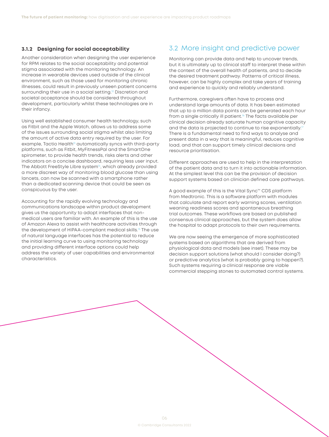#### <span id="page-7-0"></span>**3.1.2 Designing for social acceptability**

Another consideration when designing the user experience for RPM relates to the social acceptability and potential stigma associated with the monitoring technology. An increase in wearable devices used outside of the clinical environment, such as those used for monitoring chronic illnesses, could result in previously unseen patient concerns surrounding their use in a social setting.<sup>12</sup> Discretion and societal acceptance should be considered throughout development, particularly whilst these technologies are in their infancy.

Using well established consumer health technology, such as Fitbit and the Apple Watch, allows us to address some of the issues surrounding social stigma whilst also limiting the amount of active data entry required by the user. For example, Tactio Health<sup>13</sup> automatically syncs with third-party platforms, such as Fitbit, MyFitnessPal and the SmartOne spirometer, to provide health trends, risks alerts and other indicators on a concise dashboard, requiring less user input. The Abbott FreeStyle Libre system<sup>14</sup>, which already provided a more discreet way of monitoring blood glucose than using lancets, can now be scanned with a smartphone rather than a dedicated scanning device that could be seen as conspicuous by the user.

Accounting for the rapidly evolving technology and communications landscape within product development gives us the opportunity to adopt interfaces that nonmedical users are familiar with. An example of this is the use of Amazon Alexa to assist with healthcare activities through the development of HIPAA-compliant medical skills.<sup>15</sup> The use of natural language interfaces has the potential to reduce the initial learning curve to using monitoring technology and providing different interface options could help address the variety of user capabilities and environmental characteristics.

#### 3.2 More insight and predictive power

Monitoring can provide data and help to uncover trends, but it is ultimately up to clinical staff to interpret these within the context of the overall health of patients, and to decide the desired treatment pathway. Patterns of critical illness, however, can be highly complex and take years of training and experience to quickly and reliably understand.

Furthermore, caregivers often have to process and understand large amounts of data. It has been estimated that up to a million data points can be generated each hour from a single critically ill patient.<sup>16</sup> The facts available per clinical decision already saturate human cognitive capacity and the data is projected to continue to rise exponentially.<sup>1</sup> There is a fundamental need to find ways to analyse and present data in a way that is meaningful, reduces cognitive load, and that can support timely clinical decisions and resource prioritisation.

Different approaches are used to help in the interpretation of the patient data and to turn it into actionable information. At the simplest level this can be the provision of decision support systems based on clinician defined care pathways.

A good example of this is the Vital Sync™ CDS platform from Medtronic. This is a software platform with modules that calculate and report early warning scores, ventilation weaning readiness scores and spontaneous breathing trial outcomes. These workflows are based on published consensus clinical approaches, but the system does allow the hospital to adapt protocols to their own requirements.

We are now seeing the emergence of more sophisticated systems based on algorithms that are derived from physiological data and models (see inset). These may be decision support solutions (what should I consider doing?) or predictive analytics (what is probably going to happen?). Such systems requiring a clinical response are viable commercial stepping stones to automated control systems.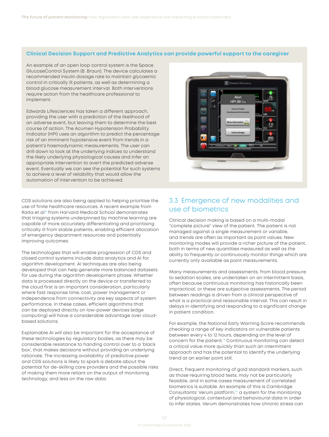#### <span id="page-8-0"></span>**Clinical Decision Support and Predictive Analytics can provide powerful support to the caregiver**

An example of an open loop control system is the Space GlucoseControl System (B. Braun). The device calculates a recommended insulin dosage rate to maintain glycaemic control in critically ill patients, as well as determining a blood glucose measurement interval. Both interventions require action from the healthcare professional to implement.

Edwards Lifesciences has taken a different approach, providing the user with a prediction of the likelihood of an adverse event, but leaving them to determine the best course of action. The Acumen Hypotension Probability Indicator (HPI) uses an algorithm to predict the percentage risk of an imminent hypotensive event from trends in a patient's haemodynamic measurements. The user can drill down to look at the underlying indices to understand the likely underlying physiological causes and infer an appropriate intervention to avert the predicted adverse event. Eventually we can see the potential for such systems to achieve a level of reliability that would allow the automation of intervention to be achieved.

CDS solutions are also being applied to helping prioritise the use of finite healthcare resources. A recent example from Raita et al<sup>[18](#page-13-0)</sup> from Harvard Medical School demonstrates that triaging systems underpinned by machine learning are capable of more accurately differentiating and prioritising critically ill from stable patients, enabling efficient allocation of emergency department resources and potentially improving outcomes.

The technologies that will enable progression of CDS and closed control systems include data analytics and AI for algorithm development. AI techniques are also being developed that can help generate more balanced datasets for use during the algorithm development phase. Whether data is processed directly on the device or transferred to the cloud first is an important consideration, particularly where fast response time, cost, power management or independence from connectivity are key aspects of system performance. In these cases, efficient algorithms that can be deployed directly on low-power devices (edge computing) will have a considerable advantage over cloudbased solutions.

Explainable AI will also be important for the acceptance of these technologies by regulatory bodies, as there may be considerable resistance to handing control over to a 'black box', that makes decisions without providing an underlying rationale. The increasing availability of predictive power and CDS solutions is likely to spark a debate about the potential for de-skilling care providers and the possible risks of making them more reliant on the output of monitoring technology, and less on the raw data.



### 3.3 Emergence of new modalities and use of biometrics

Clinical decision making is based on a multi-modal "complete picture" view of the patient. The patient is not managed against a single measurement or variable, and trends are often as important as point values. New monitoring modes will provide a richer picture of the patient, both in terms of new quantities measured as well as the ability to frequently or continuously monitor things which are currently only available as point measurements.

Many measurements and assessments, from blood pressure to sedation scales, are undertaken on an intermittent basis, often because continuous monitoring has historically been impractical, or these are subjective assessments. The period between readings is driven from a clinical perspective of what is a practical and reasonable interval. This can result in delays in identifying and responding to a significant change in patient condition.

For example, the National Early Warning Score recommends checking a range of key indicators on vulnerable patients between every 4 to 12 hours, depending on the level of concern for the patient.[19](#page-13-0) Continuous monitoring can detect a critical value more quickly than such an intermittent approach and has the potential to identify the underlying trend at an earlier point still.

Direct, frequent monitoring of gold standard markers, such as those requiring blood tests, may not be particularly feasible, and in some cases measurement of correlated biometrics is suitable. An example of this is Cambridge Consultants' Verum platform,<sup>20</sup> a system for the monitoring of physiological, contextual and behavioural data in order to infer states. Verum demonstrates how chronic stress can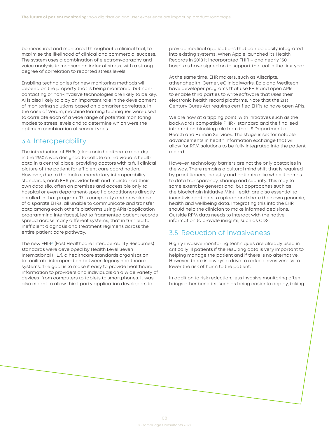<span id="page-9-0"></span>be measured and monitored throughout a clinical trial, to maximise the likelihood of clinical and commercial success. The system uses a combination of electromyography and voice analysis to measure an index of stress, with a strong degree of correlation to reported stress levels.

Enabling technologies for new monitoring methods will depend on the property that is being monitored, but noncontacting or non-invasive technologies are likely to be key. AI is also likely to play an important role in the development of monitoring solutions based on biomarker correlates. In the case of Verum, machine learning techniques were used to correlate each of a wide range of potential monitoring modes to stress levels and to determine which were the optimum combination of sensor types.

#### 3.4 Interoperability

The introduction of EHRs (electronic healthcare records) in the 1960's was designed to collate an individual's health data in a central place, providing doctors with a full clinical picture of the patient for efficient care coordination. However, due to the lack of mandatory interoperability standards, each EHR provider built and maintained their own data silo, often on premises and accessible only to hospital or even department-specific practitioners directly enrolled in that program. This complexity and prevalence of disparate EHRs, all unable to communicate and transfer data among each other's platforms using APIs (application programming interfaces), led to fragmented patient records spread across many different systems, that in turn led to inefficient diagnosis and treatment regimens across the entire patient care pathway.

The new FHIR<sup>21</sup> (Fast Healthcare Interoperability Resources) standards were developed by Health Level Seven International (HL7), a healthcare standards organisation, to facilitate interoperation between legacy healthcare systems. The goal is to make it easy to provide healthcare information to providers and individuals on a wide variety of devices, from computers to tablets to smartphones. It was also meant to allow third-party application developers to

provide medical applications that can be easily integrated into existing systems. When Apple launched its Health Records in 2018 it incorporated FHIR – and nearly 150 hospitals have signed on to support the tool in the first year.

At the same time, EHR makers, such as Allscripts, athenahealth, Cerner, eClinicalWorks, Epic and Meditech, have developer programs that use FHIR and open APIs to enable third parties to write software that uses their electronic health record platforms. Note that the 21st Century Cures Act requires certified EHRs to have open APIs.

We are now at a tipping point, with initiatives such as the backwards compatible FHIR 4 standard and the finalised information blocking rule from the US Department of Health and Human Services. The stage is set for notable advancements in health information exchange that will allow for RPM solutions to be fully integrated into the patient record.

However, technology barriers are not the only obstacles in the way. There remains a cultural mind shift that is required by practitioners, industry and patients alike when it comes to data transparency, sharing and security. This may to some extent be generational but approaches such as the blockchain initiative Mint Health are also essential to incentivise patients to upload and share their own genomic, health and wellbeing data. Integrating this into the EHR should help the clinician to make informed decisions. Outside RPM data needs to interact with the native information to provide insights, such as CDS.

#### 3.5 Reduction of invasiveness

Highly invasive monitoring techniques are already used in critically ill patients if the resulting data is very important to helping manage the patient and if there is no alternative. However, there is always a drive to reduce invasiveness to lower the risk of harm to the patient.

In addition to risk reduction, less invasive monitoring often brings other benefits, such as being easier to deploy, taking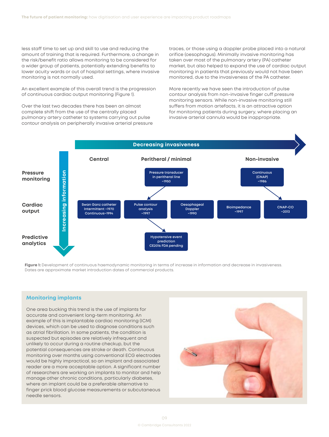less staff time to set up and skill to use and reducing the amount of training that is required. Furthermore, a change in the risk/benefit ratio allows monitoring to be considered for a wider group of patients, potentially extending benefits to lower acuity wards or out of hospital settings, where invasive monitoring is not normally used.

An excellent example of this overall trend is the progression of continuous cardiac output monitoring (Figure 1).

Over the last two decades there has been an almost complete shift from the use of the centrally placed pulmonary artery catheter to systems carrying out pulse contour analysis on peripherally invasive arterial pressure traces, or those using a doppler probe placed into a natural orifice (oesophagus). Minimally invasive monitoring has taken over most of the pulmonary artery (PA) catheter market, but also helped to expand the use of cardiac output monitoring in patients that previously would not have been monitored, due to the invasiveness of the PA catheter.

More recently we have seen the introduction of pulse contour analysis from non-invasive finger cuff pressure monitoring sensors. While non-invasive monitoring still suffers from motion artefacts, it is an attractive option for monitoring patients during surgery, where placing an invasive arterial cannula would be inappropriate.



**Figure 1:** Development of continuous haemodynamic monitoring in terms of increase in information and decrease in invasiveness. Dates are approximate market introduction dates of commercial products.

#### **Monitoring implants**

One area bucking this trend is the use of implants for accurate and convenient long-term monitoring. An example of this is implantable cardiac monitoring (ICM) devices, which can be used to diagnose conditions such as atrial fibrillation. In some patients, the condition is suspected but episodes are relatively infrequent and unlikely to occur during a routine checkup, but the potential consequences are stroke or death. Continuous monitoring over months using conventional ECG electrodes would be highly impractical, so an implant and associated reader are a more acceptable option. A significant number of researchers are working on implants to monitor and help manage other chronic conditions, particularly diabetes, where an implant could be a preferable alternative to finger prick blood glucose measurements or subcutaneous needle sensors.

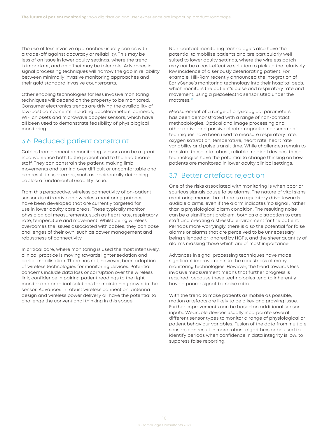<span id="page-11-0"></span>The use of less invasive approaches usually comes with a trade-off against accuracy or reliability. This may be less of an issue in lower acuity settings, where the trend is important, and an offset may be tolerable. Advances in signal processing techniques will narrow the gap in reliability between minimally invasive monitoring approaches and their gold standard invasive counterparts.

Other enabling technologies for less invasive monitoring techniques will depend on the property to be monitored. Consumer electronics trends are driving the availability of low-cost components including accelerometers, cameras, WiFi chipsets and microwave doppler sensors, which have all been used to demonstrate feasibility of physiological monitoring.

#### 3.6 Reduced patient constraint

Cables from connected monitoring sensors can be a great inconvenience both to the patient and to the healthcare staff. They can constrain the patient, making limb movements and turning over difficult or uncomfortable and can result in user errors, such as accidentally detaching cables: a fundamental usability issue.

From this perspective, wireless connectivity of on-patient sensors is attractive and wireless monitoring patches have been developed that are currently targeted for use in lower acuity care areas. These typically monitor physiological measurements, such as heart rate, respiratory rate, temperature and movement. Whilst being wireless overcomes the issues associated with cables, they can pose challenges of their own, such as power management and robustness of connectivity.

In critical care, where monitoring is used the most intensively, clinical practice is moving towards lighter sedation and earlier mobilisation. There has not, however, been adoption of wireless technologies for monitoring devices. Potential concerns include data loss or corruption over the wireless link, confidence in pairing patient readings to the right monitor and practical solutions for maintaining power in the sensor. Advances in robust wireless connection, antenna design and wireless power delivery all have the potential to challenge the conventional thinking in this space.

Non-contact monitoring technologies also have the potential to mobilise patients and are particularly well suited to lower acuity settings, where the wireless patch may not be a cost-effective solution to pick up the relatively low incidence of a seriously deteriorating patient. For example, Hill-Rom recently announced the integration of EarlySense's monitoring technology into their hospital beds, which monitors the patient's pulse and respiratory rate and movement, using a piezoelectric sensor sited under the mattress.<sup>[22](#page-13-0)</sup>

Measurement of a range of physiological parameters has been demonstrated with a range of non-contact methodologies. Optical and image processing and other active and passive electromagnetic measurement techniques have been used to measure respiratory rate, oxygen saturation, temperature, heart rate, heart rate variability and pulse transit time. While challenges remain to translate these into robust, reliable medical devices, these technologies have the potential to change thinking on how patients are monitored in lower acuity clinical settings.

#### 3.7 Better artefact rejection

One of the risks associated with monitoring is when poor or spurious signals cause false alarms. The nature of vital signs monitoring means that there is a regulatory drive towards audible alarms, even if the alarm indicates 'no signal', rather than a physiological alarm condition. The resulting noise can be a significant problem, both as a distraction to care staff and creating a stressful environment for the patient. Perhaps more worryingly, there is also the potential for false alarms or alarms that are perceived to be unnecessary being silenced or ignored by HCPs, and the sheer quantity of alarms masking those which are of most importance.

Advances in signal processing techniques have made significant improvements to the robustness of many monitoring technologies. However, the trend towards less invasive measurement means that further progress is required, because these technologies tend to inherently have a poorer signal-to-noise ratio.

With the trend to make patients as mobile as possible, motion artefacts are likely to be a key and growing issue. Further improvements can be based on additional sensor inputs. Wearable devices usually incorporate several different sensor types to monitor a range of physiological or patient behaviour variables. Fusion of the data from multiple sensors can result in more robust algorithms or be used to identify periods when confidence in data integrity is low, to suppress false reporting.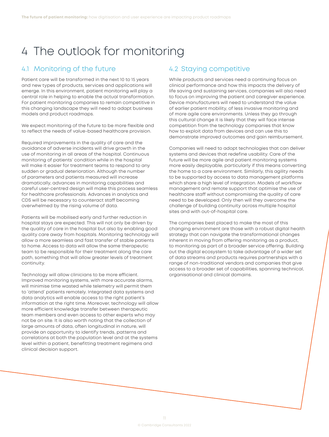# <span id="page-12-0"></span>4 The outlook for monitoring

### 4.1 Monitoring of the future

Patient care will be transformed in the next 10 to 15 years and new types of products, services and applications will emerge. In this environment, patient monitoring will play a central role in helping to enable the actual transformation. For patient monitoring companies to remain competitive in this changing landscape they will need to adapt business models and product roadmaps.

We expect monitoring of the future to be more flexible and to reflect the needs of value-based healthcare provision.

Required improvements in the quality of care and the avoidance of adverse incidents will drive growth in the use of monitoring in all areas of the hospital. Continuous monitoring of patients' condition while in the hospital will make it easier for treatment teams to respond to any sudden or gradual deterioration. Although the number of parameters and patients measured will increase dramatically, advances in monitoring capabilities and careful user-centred design will make this process seamless for healthcare professionals. Advances in analytics and CDS will be necessary to counteract staff becoming overwhelmed by the rising volume of data.

Patients will be mobilised early and further reduction in hospital stays are expected. This will not only be driven by the quality of care in the hospital but also by enabling good quality care away from hospitals. Monitoring technology will allow a more seamless and fast transfer of stable patients to home. Access to data will allow the same therapeutic team to be responsible for their treatment along the care path, something that will allow greater levels of treatment continuity.

Technology will allow clinicians to be more efficient. Improved monitoring systems, with more accurate alarms, will minimise time wasted while telemetry will permit them to 'attend' patients remotely. Integrated data systems and data analytics will enable access to the right patient's information at the right time. Moreover, technology will allow more efficient knowledge transfer between therapeutic team members and even access to other experts who may not be on site. It is also worth noting that the collection of large amounts of data, often longitudinal in nature, will provide an opportunity to identify trends, patterns and correlations at both the population level and at the systems level within a patient, benefitting treatment regimens and clinical decision support.

#### 4.2 Staying competitive

While products and services need a continuing focus on clinical performance and how this impacts the delivery of life saving and sustaining services, companies will also need to focus on improving the patient and caregiver experience. Device manufacturers will need to understand the value of earlier patient mobility, of less invasive monitoring and of more agile care environments. Unless they go through this cultural change it is likely that they will face intense competition from the technology companies that know how to exploit data from devices and can use this to demonstrate improved outcomes and gain reimbursement.

Companies will need to adopt technologies that can deliver systems and devices that redefine usability. Care of the future will be more agile and patient monitoring systems more easily deployable, particularly if this means converting the home to a care environment. Similarly, this agility needs to be supported by access to data management platforms which share a high level of integration. Models of workflow management and remote support that optimise the use of healthcare staff without compromising the quality of care need to be developed. Only then will they overcome the challenge of building continuity across multiple hospital sites and with out-of-hospital care.

The companies best placed to make the most of this changing environment are those with a robust digital health strategy that can navigate the transformational changes inherent in moving from offering monitoring as a product, to monitoring as part of a broader service offering. Building out the digital ecosystem to take advantage of a wider set of data streams and products requires partnerships with a range of non-traditional vendors and companies that give access to a broader set of capabilities, spanning technical, organisational and clinical domains.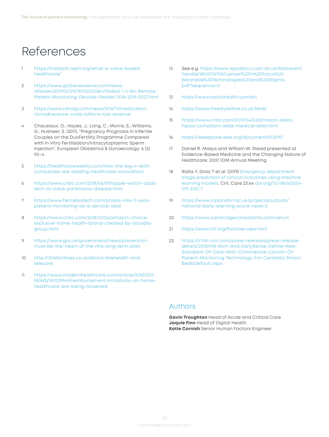## <span id="page-13-0"></span>References

- [https://catalyst.nejm.org/what-is-value-based](https://catalyst.nejm.org/what-is-value-based-healthcare/)[healthcare/](https://catalyst.nejm.org/what-is-value-based-healthcare/)
- [2](#page-4-0) [https://www.globenewswire.com/news](https://www.globenewswire.com/news-release/2019/04/29/1811025/0/en/Global-1-5-Bn-Remote-Patient-Monitoring-Devices-Market-2018-2019-2027.html)[release/2019/04/29/1811025/0/en/Global-1-5-Bn-Remote-](https://www.globenewswire.com/news-release/2019/04/29/1811025/0/en/Global-1-5-Bn-Remote-Patient-Monitoring-Devices-Market-2018-2019-2027.html)[Patient-Monitoring-Devices-Market-2018-2019-2027.html](https://www.globenewswire.com/news-release/2019/04/29/1811025/0/en/Global-1-5-Bn-Remote-Patient-Monitoring-Devices-Market-2018-2019-2027.html)
- [3](#page-4-0) [https://www.rdmag.com/news/2016/11/medication](https://www.rdmag.com/news/2016/11/medication-nonadherence-costs-billions-lost-revenue)[nonadherence-costs-billions-lost-revenue](https://www.rdmag.com/news/2016/11/medication-nonadherence-costs-billions-lost-revenue)
- [4](#page-4-0) Chausiaux, O.; Hayes, J.; Long, C.; Morris, S.; Williams, G.; Husheer, S. (2011). "Pregnancy Prognosis in Infertile Couples on the DuoFertility Programme Compared with In Vitro Fertilisation/Intracytoplasmic Sperm Injection". European Obstetrics & Gynaecology. 6 (2): 92–4.
- [5](#page-5-0) [https://healthcareweekly.com/how-the-big-4-tech](https://healthcareweekly.com/how-the-big-4-tech-companies-are-leading-healthcare-innovation/)[companies-are-leading-healthcare-innovation/](https://healthcareweekly.com/how-the-big-4-tech-companies-are-leading-healthcare-innovation/)
- [6](#page-5-0) [https://www.cnbc.com/2018/06/09/apple-watch-adds](https://www.cnbc.com/2018/06/09/apple-watch-adds-tech-to-track-parkinsons-disease.html)[tech-to-track-parkinsons-disease.html](https://www.cnbc.com/2018/06/09/apple-watch-adds-tech-to-track-parkinsons-disease.html)
- [7](#page-5-0) [https://www.fiercebiotech.com/philips-inks-11-year](https://www.fiercebiotech.com/philips-inks-11-year-patient-monitoring-as-a-service-deal)[patient-monitoring-as-a-service-deal](https://www.fiercebiotech.com/philips-inks-11-year-patient-monitoring-as-a-service-deal)
- [8](#page-5-0) [https://www.cnbc.com/2018/10/26/amazon-choice](https://www.cnbc.com/2018/10/26/amazon-choice-exclusive-home-health-brand-created-by-arcadia-group.html)[exclusive-home-health-brand-created-by-arcadia](https://www.cnbc.com/2018/10/26/amazon-choice-exclusive-home-health-brand-created-by-arcadia-group.html)[group.html](https://www.cnbc.com/2018/10/26/amazon-choice-exclusive-home-health-brand-created-by-arcadia-group.html)
- [9](#page-5-0) [https://www.gov.uk/government/news/prevention](https://www.gov.uk/government/news/prevention-must-be-the-heart-of-the-nhs-long-term-plan)[must-be-the-heart-of-the-nhs-long-term-plan](https://www.gov.uk/government/news/prevention-must-be-the-heart-of-the-nhs-long-term-plan)
- [10](#page-5-0) http://[3millionlives.co.uk/about-telehealth-and](http://millionlives.co.uk/about-telehealth-and-telecare)[telecare](http://millionlives.co.uk/about-telehealth-and-telecare)
- [11](#page-5-0) [https://www.modernhealthcare.com/article/20181027/](https://www.modernhealthcare.com/article/20181027/NEWS/181029949/reimbursement-limitations-on-home-healthcare-are-being-loosened) [NEWS/181029949/reimbursement-limitations-on-home](https://www.modernhealthcare.com/article/20181027/NEWS/181029949/reimbursement-limitations-on-home-healthcare-are-being-loosened)[healthcare-are-being-loosened](https://www.modernhealthcare.com/article/20181027/NEWS/181029949/reimbursement-limitations-on-home-healthcare-are-being-loosened)
- [12](#page-7-0) See e.g. [https://www.repository.cam.ac.uk/bitstream/](https://www.repository.cam.ac.uk/bitstream/handle/1810/276708/Lancet%20In%20Focus%20Wearable%20Technologies%20and%20Stigma.pdf?sequence=3) [handle/1810/276708/Lancet%20In%20Focus%20](https://www.repository.cam.ac.uk/bitstream/handle/1810/276708/Lancet%20In%20Focus%20Wearable%20Technologies%20and%20Stigma.pdf?sequence=3) [Wearable%20Technologies%20and%20Stigma.](https://www.repository.cam.ac.uk/bitstream/handle/1810/276708/Lancet%20In%20Focus%20Wearable%20Technologies%20and%20Stigma.pdf?sequence=3) [pdf?sequence=3](https://www.repository.cam.ac.uk/bitstream/handle/1810/276708/Lancet%20In%20Focus%20Wearable%20Technologies%20and%20Stigma.pdf?sequence=3)
- [13](#page-7-0) <https://www.tactiohealth.com/en>
- [14](#page-7-0) <https://www.freestylelibre.co.uk/libre/>
- [15](#page-7-0) [https://www.cnbc.com/2019/04/03/amazon-alexa](https://www.cnbc.com/2019/04/03/amazon-alexa-hipaa-compliant-adds-medical-skills.html)[hipaa-compliant-adds-medical-skills.html](https://www.cnbc.com/2019/04/03/amazon-alexa-hipaa-compliant-adds-medical-skills.html)
- [16](#page-7-0) <https://ieeexplore.ieee.org/document/6732197>
- [17](#page-7-0) Daniel R. Masys and William W. Stead presented at Evidence-Based Medicine and the Changing Nature of Healthcare: 2007 IOM Annual Meeting
- [18](#page-8-0) Raita Y, Goto T et al. (2019) Emergency department [triage prediction of clinical outcomes using machine](https://ccforum.biomedcentral.com/articles/10.1186/s13054-019-2351-7)  [learning models](https://ccforum.biomedcentral.com/articles/10.1186/s13054-019-2351-7). Crit. Care 23:64 [doi.org/10.1186/s13054-](http://doi.org/10.1186/s13054-019-2351-7) [019-2351-7](http://doi.org/10.1186/s13054-019-2351-7)
- [19](#page-8-0) [https://www.rcplondon.ac.uk/projects/outputs/](https://www.rcplondon.ac.uk/projects/outputs/national-early-warning-score-news-2) [national-early-warning-score-news-2](https://www.rcplondon.ac.uk/projects/outputs/national-early-warning-score-news-2)
- [20](#page-8-0) <https://www.cambridgeconsultants.com/verum>
- [21](#page-9-0) <https://www.hl7.org/fhir/overview.html>
- [22](#page-11-0) [https://ir.hill-rom.com/press-releases/press-release](https://ir.hill-rom.com/press-releases/press-release-details/2018/Hill-Rom-And-EarlySense-Define-New-Standard-Of-Care-With-Commercial-Launch-Of-Patient-Monitoring-Technology-For-Centrella-Smart-Beds/default.aspx)[details/2018/Hill-Rom-And-EarlySense-Define-New-](https://ir.hill-rom.com/press-releases/press-release-details/2018/Hill-Rom-And-EarlySense-Define-New-Standard-Of-Care-With-Commercial-Launch-Of-Patient-Monitoring-Technology-For-Centrella-Smart-Beds/default.aspx)[Standard-Of-Care-With-Commercial-Launch-Of-](https://ir.hill-rom.com/press-releases/press-release-details/2018/Hill-Rom-And-EarlySense-Define-New-Standard-Of-Care-With-Commercial-Launch-Of-Patient-Monitoring-Technology-For-Centrella-Smart-Beds/default.aspx)[Patient-Monitoring-Technology-For-Centrella-Smart-](https://ir.hill-rom.com/press-releases/press-release-details/2018/Hill-Rom-And-EarlySense-Define-New-Standard-Of-Care-With-Commercial-Launch-Of-Patient-Monitoring-Technology-For-Centrella-Smart-Beds/default.aspx)[Beds/default.aspx](https://ir.hill-rom.com/press-releases/press-release-details/2018/Hill-Rom-And-EarlySense-Define-New-Standard-Of-Care-With-Commercial-Launch-Of-Patient-Monitoring-Technology-For-Centrella-Smart-Beds/default.aspx)

#### Authors

**Gavin Troughton** Head of Acute and Critical Care **Jaquie Finn** Head of Digital Health **Katie Cornish** Senior Human Factors Engineer